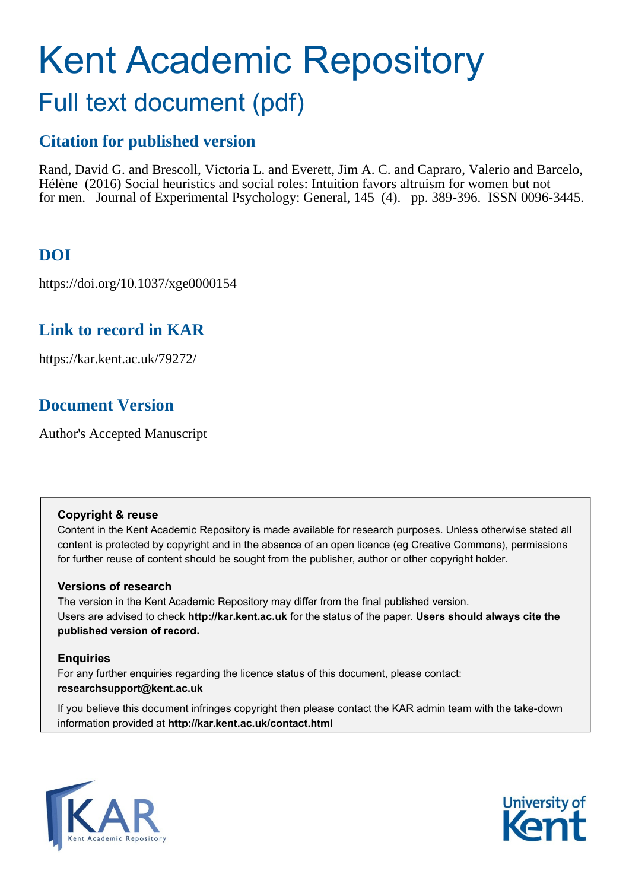# Kent Academic Repository Full text document (pdf)

## **Citation for published version**

Rand, David G. and Brescoll, Victoria L. and Everett, Jim A. C. and Capraro, Valerio and Barcelo, Hélène (2016) Social heuristics and social roles: Intuition favors altruism for women but not for men. Journal of Experimental Psychology: General, 145 (4). pp. 389-396. ISSN 0096-3445.

## **DOI**

https://doi.org/10.1037/xge0000154

## **Link to record in KAR**

https://kar.kent.ac.uk/79272/

## **Document Version**

Author's Accepted Manuscript

#### **Copyright & reuse**

Content in the Kent Academic Repository is made available for research purposes. Unless otherwise stated all content is protected by copyright and in the absence of an open licence (eg Creative Commons), permissions for further reuse of content should be sought from the publisher, author or other copyright holder.

#### **Versions of research**

The version in the Kent Academic Repository may differ from the final published version. Users are advised to check **http://kar.kent.ac.uk** for the status of the paper. **Users should always cite the published version of record.**

#### **Enquiries**

For any further enquiries regarding the licence status of this document, please contact: **researchsupport@kent.ac.uk**

If you believe this document infringes copyright then please contact the KAR admin team with the take-down information provided at **http://kar.kent.ac.uk/contact.html**



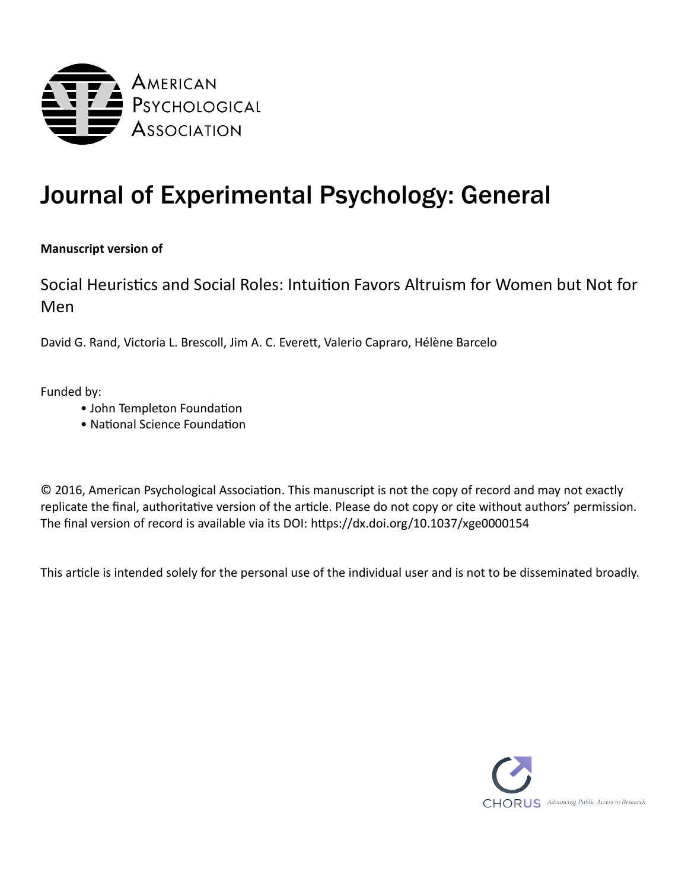

## Journal of Experimental Psychology: General

#### **Manuscript version of**

Social Heuristics and Social Roles: Intuition Favors Altruism for Women but Not for Men

David G. Rand, Victoria L. Brescoll, Jim A. C. Everett, Valerio Capraro, Hélène Barcelo

Funded by:

- John Templeton Foundation
- National Science Foundation

© 2016, American Psychological Association. This manuscript is not the copy of record and may not exactly replicate the final, authoritative version of the article. Please do not copy or cite without authors' permission. The final version of record is available via its DOI: <https://dx.doi.org/10.1037/xge0000154>

This article is intended solely for the personal use of the individual user and is not to be disseminated broadly.

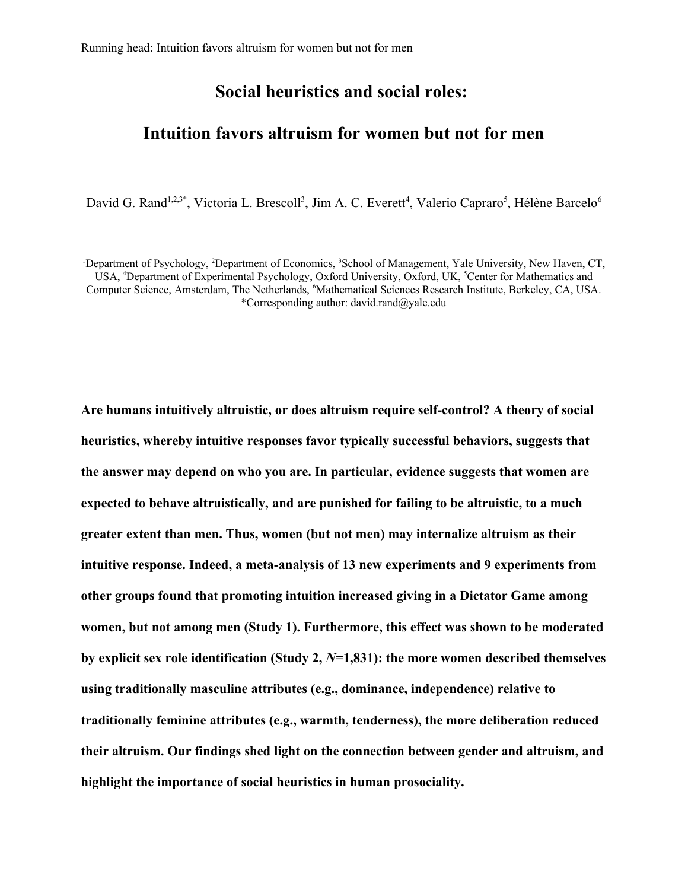#### **Social heuristics and social roles:**

### **Intuition favors altruism for women but not for men**

David G. Rand<sup>1,2,3\*</sup>, Victoria L. Brescoll<sup>3</sup>, Jim A. C. Everett<sup>4</sup>, Valerio Capraro<sup>5</sup>, Hélène Barcelo<sup>6</sup>

<sup>1</sup>Department of Psychology, <sup>2</sup>Department of Economics, <sup>3</sup>School of Management, Yale University, New Haven, CT, USA, <sup>4</sup>Department of Experimental Psychology, Oxford University, Oxford, UK, <sup>5</sup>Center for Mathematics and Computer Science, Amsterdam, The Netherlands, <sup>6</sup>Mathematical Sciences Research Institute, Berkeley, CA, USA. \*Corresponding author: david.rand@yale.edu

**Are humans intuitively altruistic, or does altruism require self-control? A theory of social heuristics, whereby intuitive responses favor typically successful behaviors, suggests that the answer may depend on who you are. In particular, evidence suggests that women are expected to behave altruistically, and are punished for failing to be altruistic, to a much greater extent than men. Thus, women (but not men) may internalize altruism as their intuitive response. Indeed, a meta-analysis of 13 new experiments and 9 experiments from other groups found that promoting intuition increased giving in a Dictator Game among women, but not among men (Study 1). Furthermore, this effect was shown to be moderated by explicit sex role identification (Study 2,** *N***=1,831): the more women described themselves using traditionally masculine attributes (e.g., dominance, independence) relative to traditionally feminine attributes (e.g., warmth, tenderness), the more deliberation reduced their altruism. Our findings shed light on the connection between gender and altruism, and highlight the importance of social heuristics in human prosociality.**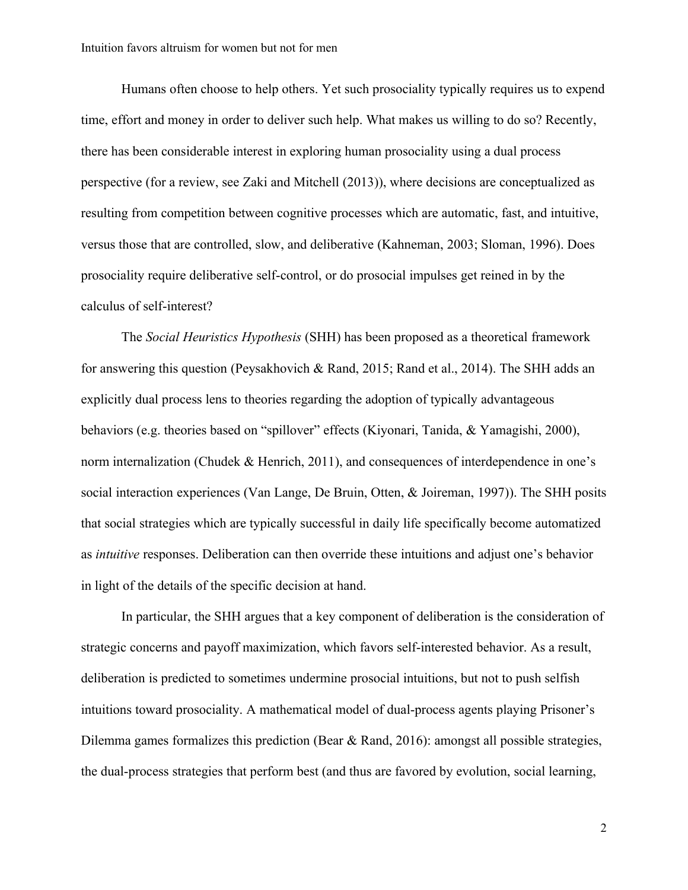Humans often choose to help others. Yet such prosociality typically requires us to expend time, effort and money in order to deliver such help. What makes us willing to do so? Recently, there has been considerable interest in exploring human prosociality using a dual process perspective (for a review, see Zaki and Mitchell (2013)), where decisions are conceptualized as resulting from competition between cognitive processes which are automatic, fast, and intuitive, versus those that are controlled, slow, and deliberative (Kahneman, 2003; Sloman, 1996). Does prosociality require deliberative self-control, or do prosocial impulses get reined in by the calculus of self-interest?

The *Social Heuristics Hypothesis* (SHH) has been proposed as a theoretical framework for answering this question (Peysakhovich & Rand, 2015; Rand et al., 2014). The SHH adds an explicitly dual process lens to theories regarding the adoption of typically advantageous behaviors (e.g. theories based on "spillover" effects (Kiyonari, Tanida, & Yamagishi, 2000), norm internalization (Chudek & Henrich, 2011), and consequences of interdependence in one's social interaction experiences (Van Lange, De Bruin, Otten, & Joireman, 1997)). The SHH posits that social strategies which are typically successful in daily life specifically become automatized as *intuitive* responses. Deliberation can then override these intuitions and adjust one's behavior in light of the details of the specific decision at hand.

In particular, the SHH argues that a key component of deliberation is the consideration of strategic concerns and payoff maximization, which favors self-interested behavior. As a result, deliberation is predicted to sometimes undermine prosocial intuitions, but not to push selfish intuitions toward prosociality. A mathematical model of dual-process agents playing Prisoner's Dilemma games formalizes this prediction (Bear & Rand, 2016): amongst all possible strategies, the dual-process strategies that perform best (and thus are favored by evolution, social learning,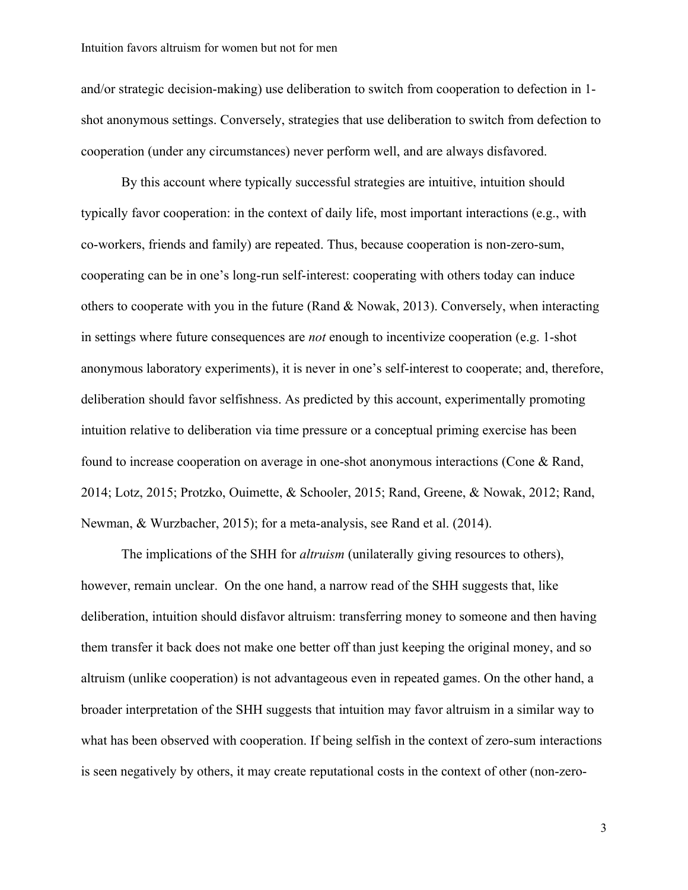and/or strategic decision-making) use deliberation to switch from cooperation to defection in 1 shot anonymous settings. Conversely, strategies that use deliberation to switch from defection to cooperation (under any circumstances) never perform well, and are always disfavored.

By this account where typically successful strategies are intuitive, intuition should typically favor cooperation: in the context of daily life, most important interactions (e.g., with co-workers, friends and family) are repeated. Thus, because cooperation is non-zero-sum, cooperating can be in one's long-run self-interest: cooperating with others today can induce others to cooperate with you in the future (Rand & Nowak, 2013). Conversely, when interacting in settings where future consequences are *not* enough to incentivize cooperation (e.g. 1-shot anonymous laboratory experiments), it is never in one's self-interest to cooperate; and, therefore, deliberation should favor selfishness. As predicted by this account, experimentally promoting intuition relative to deliberation via time pressure or a conceptual priming exercise has been found to increase cooperation on average in one-shot anonymous interactions (Cone & Rand, 2014; Lotz, 2015; Protzko, Ouimette, & Schooler, 2015; Rand, Greene, & Nowak, 2012; Rand, Newman, & Wurzbacher, 2015); for a meta-analysis, see Rand et al. (2014).

The implications of the SHH for *altruism* (unilaterally giving resources to others), however, remain unclear. On the one hand, a narrow read of the SHH suggests that, like deliberation, intuition should disfavor altruism: transferring money to someone and then having them transfer it back does not make one better off than just keeping the original money, and so altruism (unlike cooperation) is not advantageous even in repeated games. On the other hand, a broader interpretation of the SHH suggests that intuition may favor altruism in a similar way to what has been observed with cooperation. If being selfish in the context of zero-sum interactions is seen negatively by others, it may create reputational costs in the context of other (non-zero-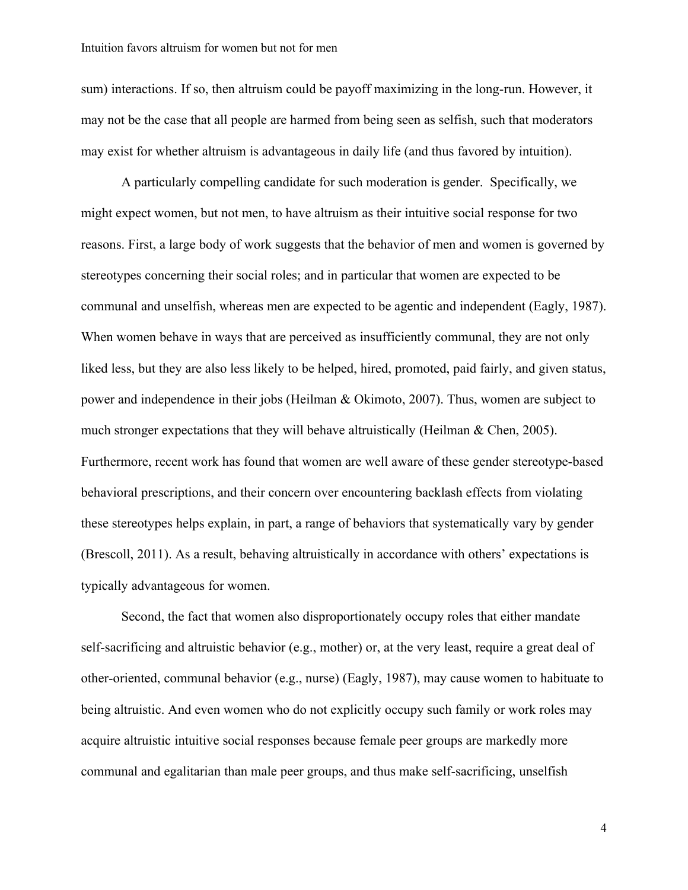sum) interactions. If so, then altruism could be payoff maximizing in the long-run. However, it may not be the case that all people are harmed from being seen as selfish, such that moderators may exist for whether altruism is advantageous in daily life (and thus favored by intuition).

A particularly compelling candidate for such moderation is gender. Specifically, we might expect women, but not men, to have altruism as their intuitive social response for two reasons. First, a large body of work suggests that the behavior of men and women is governed by stereotypes concerning their social roles; and in particular that women are expected to be communal and unselfish, whereas men are expected to be agentic and independent (Eagly, 1987). When women behave in ways that are perceived as insufficiently communal, they are not only liked less, but they are also less likely to be helped, hired, promoted, paid fairly, and given status, power and independence in their jobs (Heilman & Okimoto, 2007). Thus, women are subject to much stronger expectations that they will behave altruistically (Heilman & Chen, 2005). Furthermore, recent work has found that women are well aware of these gender stereotype-based behavioral prescriptions, and their concern over encountering backlash effects from violating these stereotypes helps explain, in part, a range of behaviors that systematically vary by gender (Brescoll, 2011). As a result, behaving altruistically in accordance with others' expectations is typically advantageous for women.

Second, the fact that women also disproportionately occupy roles that either mandate self-sacrificing and altruistic behavior (e.g., mother) or, at the very least, require a great deal of other-oriented, communal behavior (e.g., nurse) (Eagly, 1987), may cause women to habituate to being altruistic. And even women who do not explicitly occupy such family or work roles may acquire altruistic intuitive social responses because female peer groups are markedly more communal and egalitarian than male peer groups, and thus make self-sacrificing, unselfish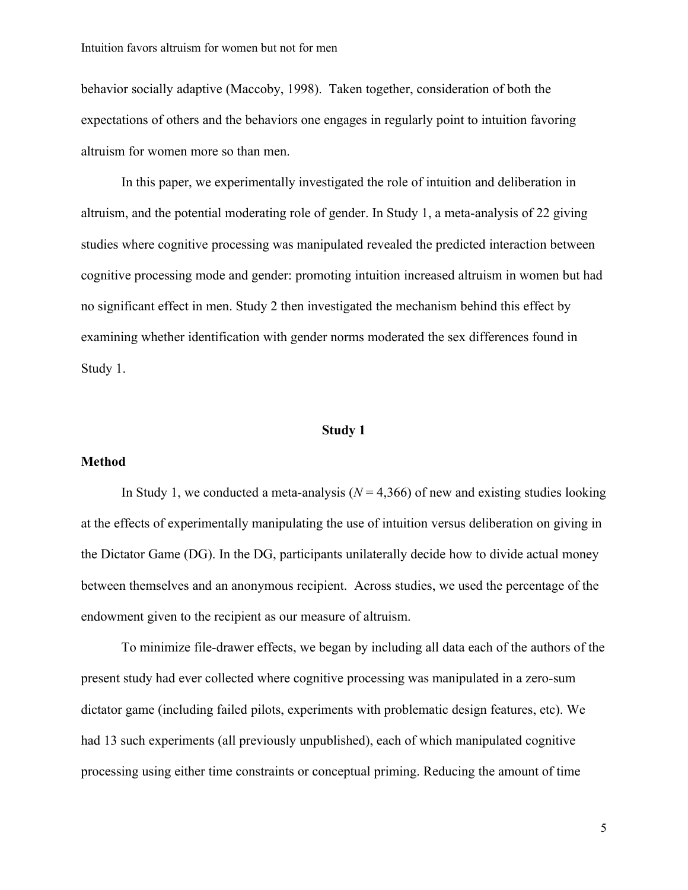behavior socially adaptive (Maccoby, 1998). Taken together, consideration of both the expectations of others and the behaviors one engages in regularly point to intuition favoring altruism for women more so than men.

In this paper, we experimentally investigated the role of intuition and deliberation in altruism, and the potential moderating role of gender. In Study 1, a meta-analysis of 22 giving studies where cognitive processing was manipulated revealed the predicted interaction between cognitive processing mode and gender: promoting intuition increased altruism in women but had no significant effect in men. Study 2 then investigated the mechanism behind this effect by examining whether identification with gender norms moderated the sex differences found in Study 1.

#### **Study 1**

#### **Method**

In Study 1, we conducted a meta-analysis  $(N = 4,366)$  of new and existing studies looking at the effects of experimentally manipulating the use of intuition versus deliberation on giving in the Dictator Game (DG). In the DG, participants unilaterally decide how to divide actual money between themselves and an anonymous recipient. Across studies, we used the percentage of the endowment given to the recipient as our measure of altruism.

To minimize file-drawer effects, we began by including all data each of the authors of the present study had ever collected where cognitive processing was manipulated in a zero-sum dictator game (including failed pilots, experiments with problematic design features, etc). We had 13 such experiments (all previously unpublished), each of which manipulated cognitive processing using either time constraints or conceptual priming. Reducing the amount of time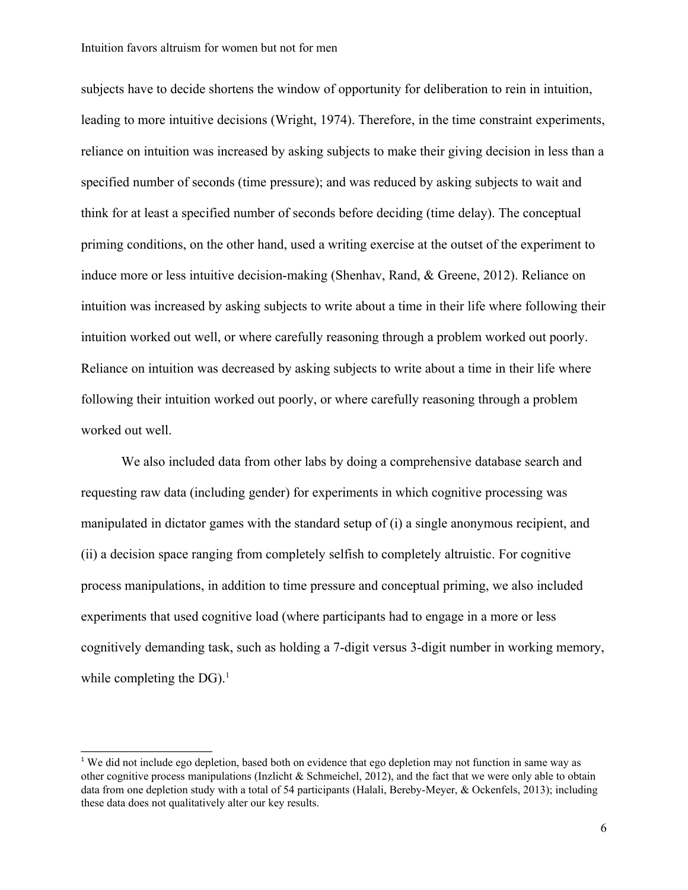subjects have to decide shortens the window of opportunity for deliberation to rein in intuition, leading to more intuitive decisions (Wright, 1974). Therefore, in the time constraint experiments, reliance on intuition was increased by asking subjects to make their giving decision in less than a specified number of seconds (time pressure); and was reduced by asking subjects to wait and think for at least a specified number of seconds before deciding (time delay). The conceptual priming conditions, on the other hand, used a writing exercise at the outset of the experiment to induce more or less intuitive decision-making (Shenhav, Rand, & Greene, 2012). Reliance on intuition was increased by asking subjects to write about a time in their life where following their intuition worked out well, or where carefully reasoning through a problem worked out poorly. Reliance on intuition was decreased by asking subjects to write about a time in their life where following their intuition worked out poorly, or where carefully reasoning through a problem worked out well.

We also included data from other labs by doing a comprehensive database search and requesting raw data (including gender) for experiments in which cognitive processing was manipulated in dictator games with the standard setup of (i) a single anonymous recipient, and (ii) a decision space ranging from completely selfish to completely altruistic. For cognitive process manipulations, in addition to time pressure and conceptual priming, we also included experiments that used cognitive load (where participants had to engage in a more or less cognitively demanding task, such as holding a 7-digit versus 3-digit number in working memory, while completing the  $DG$ ).<sup>1</sup>

<sup>&</sup>lt;sup>1</sup> We did not include ego depletion, based both on evidence that ego depletion may not function in same way as other cognitive process manipulations (Inzlicht & Schmeichel, 2012), and the fact that we were only able to obtain data from one depletion study with a total of 54 participants (Halali, Bereby-Meyer, & Ockenfels, 2013); including these data does not qualitatively alter our key results.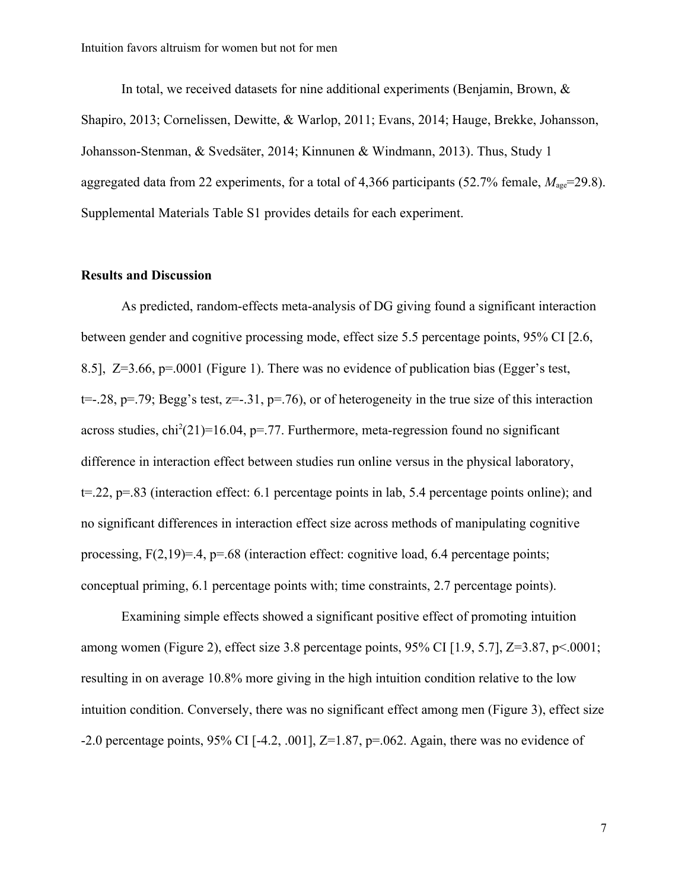In total, we received datasets for nine additional experiments (Benjamin, Brown, & Shapiro, 2013; Cornelissen, Dewitte, & Warlop, 2011; Evans, 2014; Hauge, Brekke, Johansson, Johansson-Stenman, & Svedsäter, 2014; Kinnunen & Windmann, 2013). Thus, Study 1 aggregated data from 22 experiments, for a total of 4,366 participants  $(52.7\%$  female,  $M_{\text{ase}}$ =29.8). Supplemental Materials Table S1 provides details for each experiment.

#### **Results and Discussion**

As predicted, random-effects meta-analysis of DG giving found a significant interaction between gender and cognitive processing mode, effect size 5.5 percentage points, 95% CI [2.6, 8.5], Z=3.66, p=.0001 (Figure 1). There was no evidence of publication bias (Egger's test,  $t=-.28$ ,  $p=.79$ ; Begg's test,  $z=-.31$ ,  $p=.76$ ), or of heterogeneity in the true size of this interaction across studies,  $\text{chi}^2(21)=16.04$ , p=.77. Furthermore, meta-regression found no significant difference in interaction effect between studies run online versus in the physical laboratory, t=.22, p=.83 (interaction effect: 6.1 percentage points in lab, 5.4 percentage points online); and no significant differences in interaction effect size across methods of manipulating cognitive processing,  $F(2,19)=.4$ ,  $p=.68$  (interaction effect: cognitive load, 6.4 percentage points; conceptual priming, 6.1 percentage points with; time constraints, 2.7 percentage points).

Examining simple effects showed a significant positive effect of promoting intuition among women (Figure 2), effect size 3.8 percentage points,  $95\%$  CI [1.9, 5.7], Z=3.87, p<.0001; resulting in on average 10.8% more giving in the high intuition condition relative to the low intuition condition. Conversely, there was no significant effect among men (Figure 3), effect size -2.0 percentage points,  $95\%$  CI [-4.2, .001], Z=1.87, p=.062. Again, there was no evidence of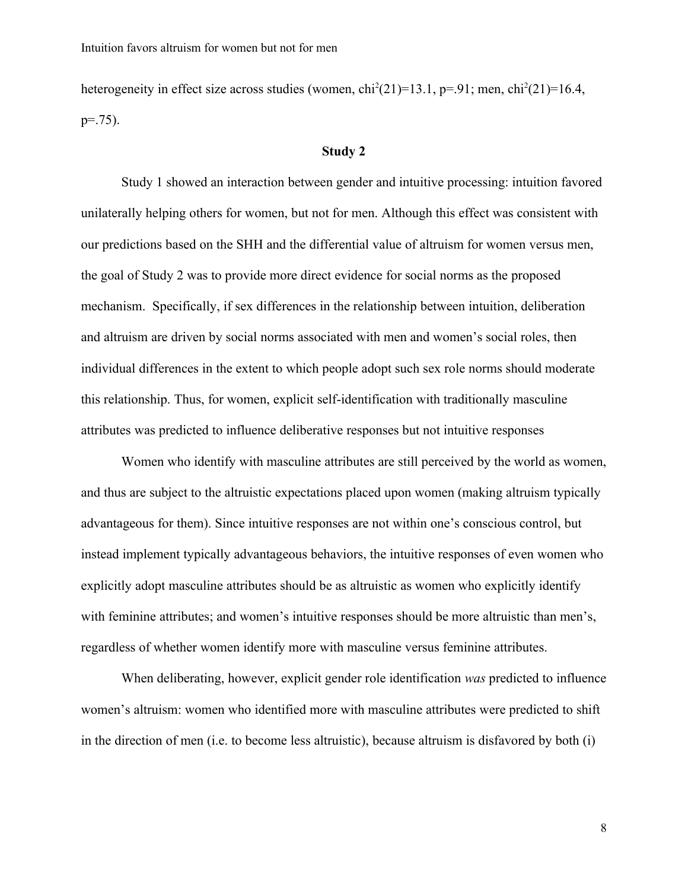heterogeneity in effect size across studies (women,  $\text{chi}^2(21)=13.1$ , p=.91; men,  $\text{chi}^2(21)=16.4$ ,  $p=.75$ ).

#### **Study 2**

Study 1 showed an interaction between gender and intuitive processing: intuition favored unilaterally helping others for women, but not for men. Although this effect was consistent with our predictions based on the SHH and the differential value of altruism for women versus men, the goal of Study 2 was to provide more direct evidence for social norms as the proposed mechanism. Specifically, if sex differences in the relationship between intuition, deliberation and altruism are driven by social norms associated with men and women's social roles, then individual differences in the extent to which people adopt such sex role norms should moderate this relationship. Thus, for women, explicit self-identification with traditionally masculine attributes was predicted to influence deliberative responses but not intuitive responses

Women who identify with masculine attributes are still perceived by the world as women, and thus are subject to the altruistic expectations placed upon women (making altruism typically advantageous for them). Since intuitive responses are not within one's conscious control, but instead implement typically advantageous behaviors, the intuitive responses of even women who explicitly adopt masculine attributes should be as altruistic as women who explicitly identify with feminine attributes; and women's intuitive responses should be more altruistic than men's, regardless of whether women identify more with masculine versus feminine attributes.

When deliberating, however, explicit gender role identification *was* predicted to influence women's altruism: women who identified more with masculine attributes were predicted to shift in the direction of men (i.e. to become less altruistic), because altruism is disfavored by both (i)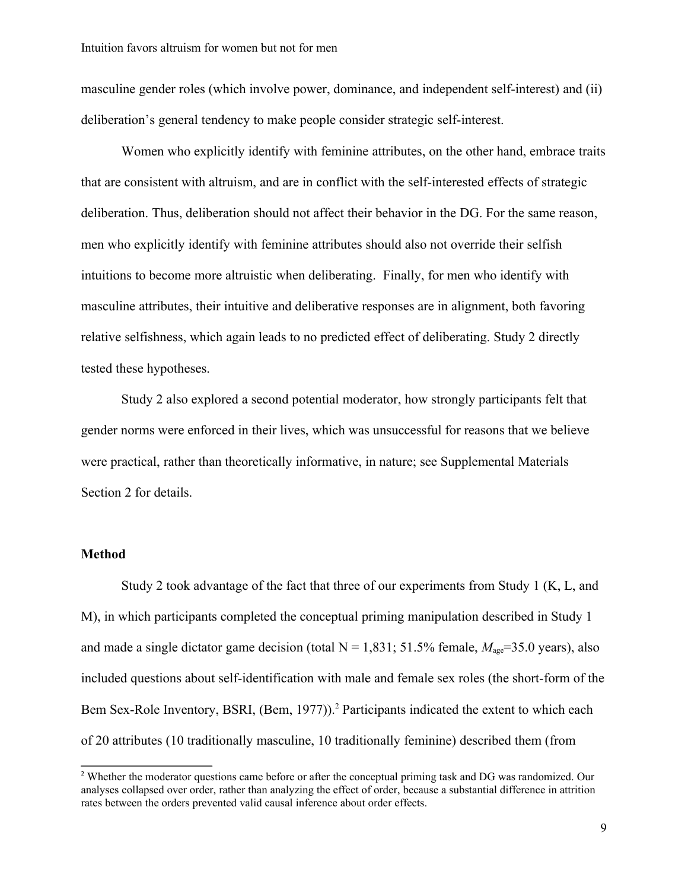masculine gender roles (which involve power, dominance, and independent self-interest) and (ii) deliberation's general tendency to make people consider strategic self-interest.

Women who explicitly identify with feminine attributes, on the other hand, embrace traits that are consistent with altruism, and are in conflict with the self-interested effects of strategic deliberation. Thus, deliberation should not affect their behavior in the DG. For the same reason, men who explicitly identify with feminine attributes should also not override their selfish intuitions to become more altruistic when deliberating. Finally, for men who identify with masculine attributes, their intuitive and deliberative responses are in alignment, both favoring relative selfishness, which again leads to no predicted effect of deliberating. Study 2 directly tested these hypotheses.

Study 2 also explored a second potential moderator, how strongly participants felt that gender norms were enforced in their lives, which was unsuccessful for reasons that we believe were practical, rather than theoretically informative, in nature; see Supplemental Materials Section 2 for details.

#### **Method**

Study 2 took advantage of the fact that three of our experiments from Study 1 (K, L, and M), in which participants completed the conceptual priming manipulation described in Study 1 and made a single dictator game decision (total  $N = 1,831$ ; 51.5% female,  $M_{\text{age}} = 35.0$  years), also included questions about self-identification with male and female sex roles (the short-form of the Bem Sex-Role Inventory, BSRI, (Bem, 1977)).<sup>2</sup> Participants indicated the extent to which each of 20 attributes (10 traditionally masculine, 10 traditionally feminine) described them (from

<sup>&</sup>lt;sup>2</sup> Whether the moderator questions came before or after the conceptual priming task and DG was randomized. Our analyses collapsed over order, rather than analyzing the effect of order, because a substantial difference in attrition rates between the orders prevented valid causal inference about order effects.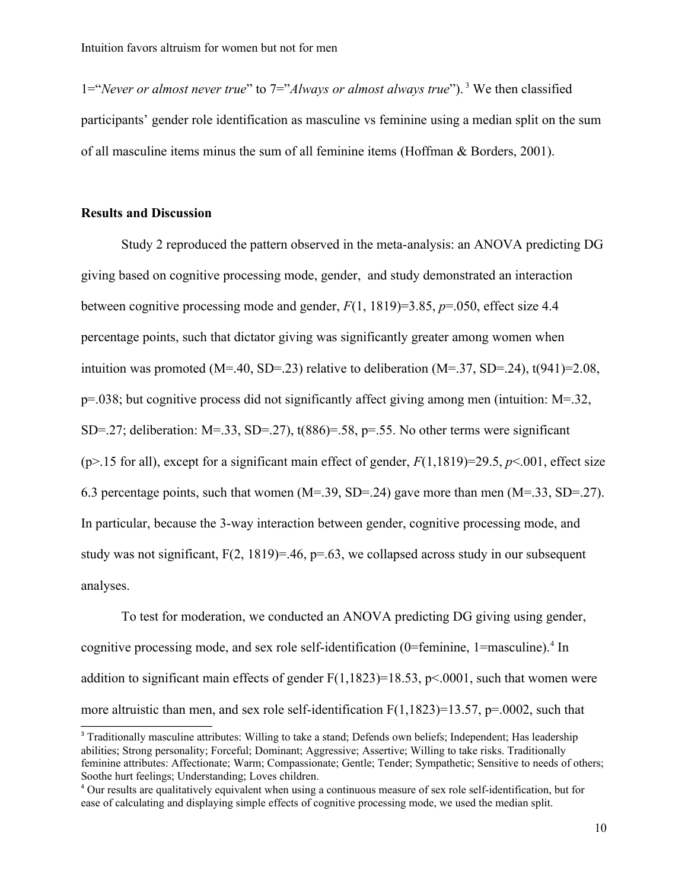1="*Never or almost never true*" to 7="*Always or almost always true*"). <sup>3</sup> We then classified participants' gender role identification as masculine vs feminine using a median split on the sum of all masculine items minus the sum of all feminine items (Hoffman & Borders, 2001).

#### **Results and Discussion**

Study 2 reproduced the pattern observed in the meta-analysis: an ANOVA predicting DG giving based on cognitive processing mode, gender, and study demonstrated an interaction between cognitive processing mode and gender, *F*(1, 1819)=3.85, *p*=.050, effect size 4.4 percentage points, such that dictator giving was significantly greater among women when intuition was promoted  $(M=40, SD=23)$  relative to deliberation  $(M=37, SD=24)$ , t(941)=2.08, p=.038; but cognitive process did not significantly affect giving among men (intuition: M=.32, SD=.27; deliberation: M=.33, SD=.27),  $t(886)=.58$ ,  $p=.55$ . No other terms were significant ( $p$ >.15 for all), except for a significant main effect of gender,  $F(1,1819)=29.5, p<.001$ , effect size 6.3 percentage points, such that women (M=.39, SD=.24) gave more than men (M=.33, SD=.27). In particular, because the 3-way interaction between gender, cognitive processing mode, and study was not significant,  $F(2, 1819)=.46$ ,  $p=.63$ , we collapsed across study in our subsequent analyses.

To test for moderation, we conducted an ANOVA predicting DG giving using gender, cognitive processing mode, and sex role self-identification (0=feminine,  $1$ =masculine).<sup>4</sup> In addition to significant main effects of gender  $F(1,1823)=18.53$ , p<.0001, such that women were more altruistic than men, and sex role self-identification  $F(1,1823)=13.57$ ,  $p=.0002$ , such that

<sup>&</sup>lt;sup>3</sup> Traditionally masculine attributes: Willing to take a stand; Defends own beliefs; Independent; Has leadership abilities; Strong personality; Forceful; Dominant; Aggressive; Assertive; Willing to take risks. Traditionally feminine attributes: Affectionate; Warm; Compassionate; Gentle; Tender; Sympathetic; Sensitive to needs of others; Soothe hurt feelings; Understanding; Loves children.

<sup>4</sup> Our results are qualitatively equivalent when using a continuous measure of sex role self-identification, but for ease of calculating and displaying simple effects of cognitive processing mode, we used the median split.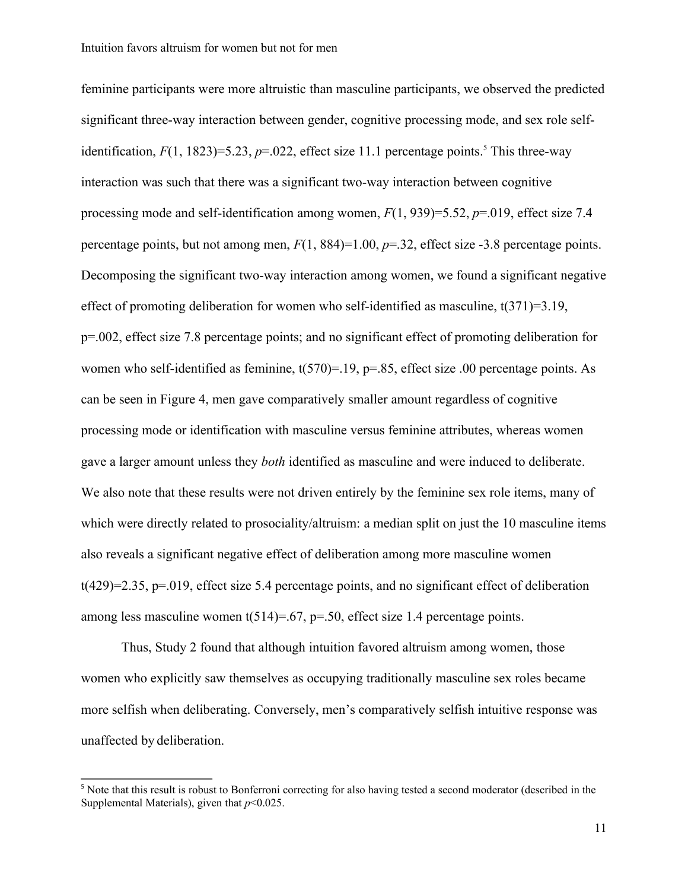feminine participants were more altruistic than masculine participants, we observed the predicted significant three-way interaction between gender, cognitive processing mode, and sex role selfidentification,  $F(1, 1823)=5.23$ ,  $p=.022$ , effect size 11.1 percentage points.<sup>5</sup> This three-way interaction was such that there was a significant two-way interaction between cognitive processing mode and self-identification among women, *F*(1, 939)=5.52, *p*=.019, effect size 7.4 percentage points, but not among men, *F*(1, 884)=1.00, *p*=.32, effect size -3.8 percentage points. Decomposing the significant two-way interaction among women, we found a significant negative effect of promoting deliberation for women who self-identified as masculine, t(371)=3.19, p=.002, effect size 7.8 percentage points; and no significant effect of promoting deliberation for women who self-identified as feminine,  $t(570)=19$ ,  $p=.85$ , effect size .00 percentage points. As can be seen in Figure 4, men gave comparatively smaller amount regardless of cognitive processing mode or identification with masculine versus feminine attributes, whereas women gave a larger amount unless they *both* identified as masculine and were induced to deliberate. We also note that these results were not driven entirely by the feminine sex role items, many of which were directly related to prosociality/altruism: a median split on just the 10 masculine items also reveals a significant negative effect of deliberation among more masculine women  $t(429)=2.35$ ,  $p=.019$ , effect size 5.4 percentage points, and no significant effect of deliberation among less masculine women  $t(514)=0.67$ ,  $p=.50$ , effect size 1.4 percentage points.

Thus, Study 2 found that although intuition favored altruism among women, those women who explicitly saw themselves as occupying traditionally masculine sex roles became more selfish when deliberating. Conversely, men's comparatively selfish intuitive response was unaffected by deliberation.

<sup>&</sup>lt;sup>5</sup> Note that this result is robust to Bonferroni correcting for also having tested a second moderator (described in the Supplemental Materials), given that *p*<0.025.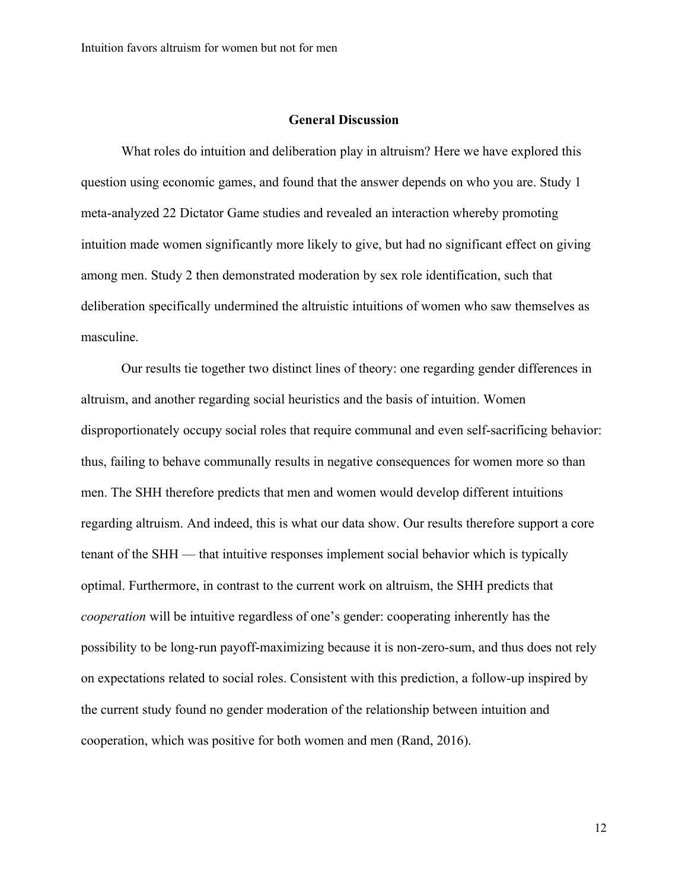#### **General Discussion**

What roles do intuition and deliberation play in altruism? Here we have explored this question using economic games, and found that the answer depends on who you are. Study 1 meta-analyzed 22 Dictator Game studies and revealed an interaction whereby promoting intuition made women significantly more likely to give, but had no significant effect on giving among men. Study 2 then demonstrated moderation by sex role identification, such that deliberation specifically undermined the altruistic intuitions of women who saw themselves as masculine.

Our results tie together two distinct lines of theory: one regarding gender differences in altruism, and another regarding social heuristics and the basis of intuition. Women disproportionately occupy social roles that require communal and even self-sacrificing behavior: thus, failing to behave communally results in negative consequences for women more so than men. The SHH therefore predicts that men and women would develop different intuitions regarding altruism. And indeed, this is what our data show. Our results therefore support a core tenant of the SHH — that intuitive responses implement social behavior which is typically optimal. Furthermore, in contrast to the current work on altruism, the SHH predicts that *cooperation* will be intuitive regardless of one's gender: cooperating inherently has the possibility to be long-run payoff-maximizing because it is non-zero-sum, and thus does not rely on expectations related to social roles. Consistent with this prediction, a follow-up inspired by the current study found no gender moderation of the relationship between intuition and cooperation, which was positive for both women and men (Rand, 2016).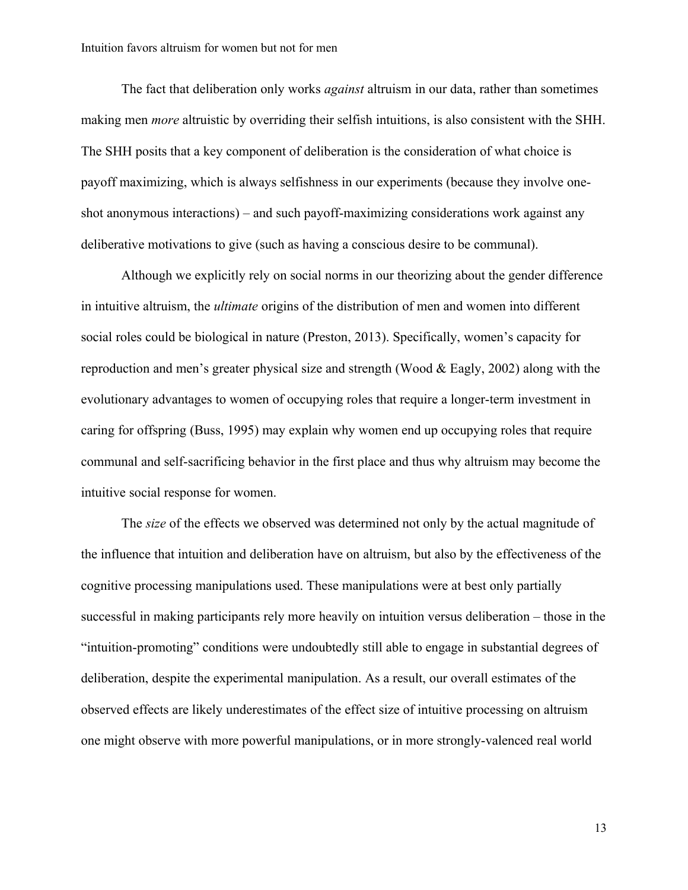The fact that deliberation only works *against* altruism in our data, rather than sometimes making men *more* altruistic by overriding their selfish intuitions, is also consistent with the SHH. The SHH posits that a key component of deliberation is the consideration of what choice is payoff maximizing, which is always selfishness in our experiments (because they involve oneshot anonymous interactions) – and such payoff-maximizing considerations work against any deliberative motivations to give (such as having a conscious desire to be communal).

Although we explicitly rely on social norms in our theorizing about the gender difference in intuitive altruism, the *ultimate* origins of the distribution of men and women into different social roles could be biological in nature (Preston, 2013). Specifically, women's capacity for reproduction and men's greater physical size and strength (Wood & Eagly, 2002) along with the evolutionary advantages to women of occupying roles that require a longer-term investment in caring for offspring (Buss, 1995) may explain why women end up occupying roles that require communal and self-sacrificing behavior in the first place and thus why altruism may become the intuitive social response for women.

The *size* of the effects we observed was determined not only by the actual magnitude of the influence that intuition and deliberation have on altruism, but also by the effectiveness of the cognitive processing manipulations used. These manipulations were at best only partially successful in making participants rely more heavily on intuition versus deliberation – those in the "intuition-promoting" conditions were undoubtedly still able to engage in substantial degrees of deliberation, despite the experimental manipulation. As a result, our overall estimates of the observed effects are likely underestimates of the effect size of intuitive processing on altruism one might observe with more powerful manipulations, or in more strongly-valenced real world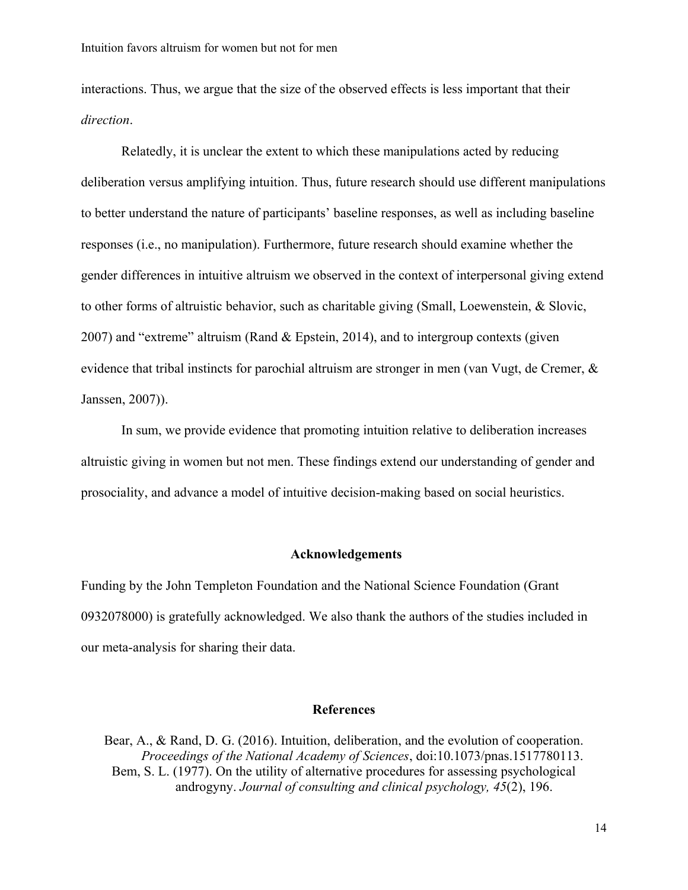interactions. Thus, we argue that the size of the observed effects is less important that their *direction*.

Relatedly, it is unclear the extent to which these manipulations acted by reducing deliberation versus amplifying intuition. Thus, future research should use different manipulations to better understand the nature of participants' baseline responses, as well as including baseline responses (i.e., no manipulation). Furthermore, future research should examine whether the gender differences in intuitive altruism we observed in the context of interpersonal giving extend to other forms of altruistic behavior, such as charitable giving (Small, Loewenstein, & Slovic, 2007) and "extreme" altruism (Rand & Epstein, 2014), and to intergroup contexts (given evidence that tribal instincts for parochial altruism are stronger in men (van Vugt, de Cremer,  $\&$ Janssen, 2007)).

In sum, we provide evidence that promoting intuition relative to deliberation increases altruistic giving in women but not men. These findings extend our understanding of gender and prosociality, and advance a model of intuitive decision-making based on social heuristics.

#### **Acknowledgements**

Funding by the John Templeton Foundation and the National Science Foundation (Grant 0932078000) is gratefully acknowledged. We also thank the authors of the studies included in our meta-analysis for sharing their data.

#### **References**

Bear, A., & Rand, D. G. (2016). Intuition, deliberation, and the evolution of cooperation. *Proceedings of the National Academy of Sciences*, doi:10.1073/pnas.1517780113. Bem, S. L. (1977). On the utility of alternative procedures for assessing psychological androgyny. *Journal of consulting and clinical psychology, 45*(2), 196.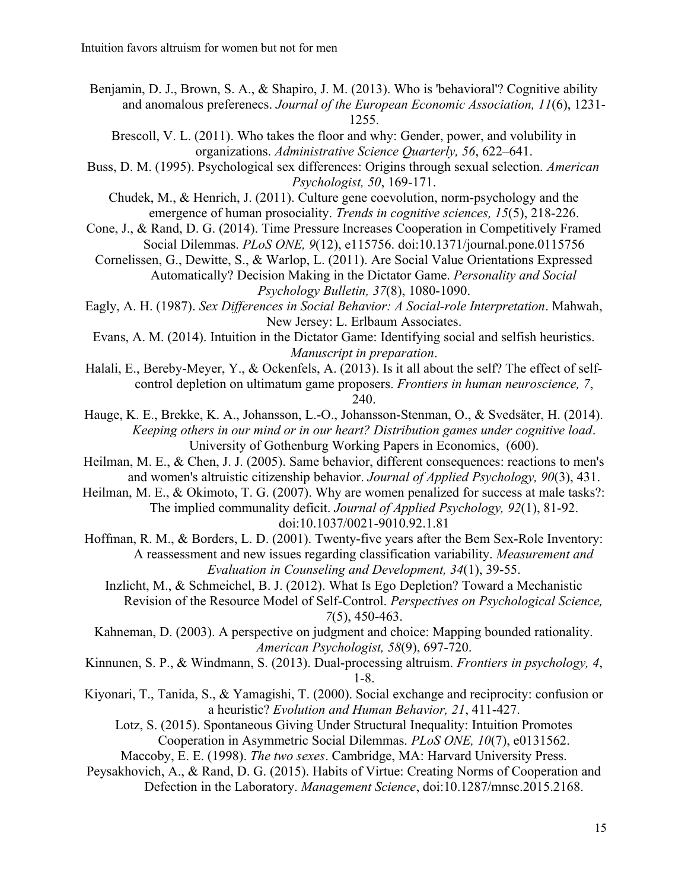Benjamin, D. J., Brown, S. A., & Shapiro, J. M. (2013). Who is 'behavioral'? Cognitive ability and anomalous preferenecs. *Journal of the European Economic Association, 11*(6), 1231- 1255.

- Brescoll, V. L. (2011). Who takes the floor and why: Gender, power, and volubility in organizations. *Administrative Science Quarterly, 56*, 622–641.
- Buss, D. M. (1995). Psychological sex differences: Origins through sexual selection. *American Psychologist, 50*, 169-171.
	- Chudek, M., & Henrich, J. (2011). Culture gene coevolution, norm-psychology and the emergence of human prosociality. *Trends in cognitive sciences, 15*(5), 218-226.
- Cone, J., & Rand, D. G. (2014). Time Pressure Increases Cooperation in Competitively Framed Social Dilemmas. *PLoS ONE, 9*(12), e115756. doi:10.1371/journal.pone.0115756
	- Cornelissen, G., Dewitte, S., & Warlop, L. (2011). Are Social Value Orientations Expressed Automatically? Decision Making in the Dictator Game. *Personality and Social Psychology Bulletin, 37*(8), 1080-1090.
- Eagly, A. H. (1987). *Sex Differences in Social Behavior: A Social-role Interpretation*. Mahwah, New Jersey: L. Erlbaum Associates.
- Evans, A. M. (2014). Intuition in the Dictator Game: Identifying social and selfish heuristics. *Manuscript in preparation*.
- Halali, E., Bereby-Meyer, Y., & Ockenfels, A. (2013). Is it all about the self? The effect of selfcontrol depletion on ultimatum game proposers. *Frontiers in human neuroscience, 7*, 240.
- Hauge, K. E., Brekke, K. A., Johansson, L.-O., Johansson-Stenman, O., & Svedsäter, H. (2014). *Keeping others in our mind or in our heart? Distribution games under cognitive load*. University of Gothenburg Working Papers in Economics, (600).
- Heilman, M. E., & Chen, J. J. (2005). Same behavior, different consequences: reactions to men's and women's altruistic citizenship behavior. *Journal of Applied Psychology, 90*(3), 431.
- Heilman, M. E., & Okimoto, T. G. (2007). Why are women penalized for success at male tasks?: The implied communality deficit. *Journal of Applied Psychology, 92*(1), 81-92. doi:10.1037/0021-9010.92.1.81
- Hoffman, R. M., & Borders, L. D. (2001). Twenty-five years after the Bem Sex-Role Inventory: A reassessment and new issues regarding classification variability. *Measurement and Evaluation in Counseling and Development, 34*(1), 39-55.
	- Inzlicht, M., & Schmeichel, B. J. (2012). What Is Ego Depletion? Toward a Mechanistic Revision of the Resource Model of Self-Control. *Perspectives on Psychological Science, 7*(5), 450-463.
	- Kahneman, D. (2003). A perspective on judgment and choice: Mapping bounded rationality. *American Psychologist, 58*(9), 697-720.
- Kinnunen, S. P., & Windmann, S. (2013). Dual-processing altruism. *Frontiers in psychology, 4*, 1-8.
- Kiyonari, T., Tanida, S., & Yamagishi, T. (2000). Social exchange and reciprocity: confusion or a heuristic? *Evolution and Human Behavior, 21*, 411-427.
	- Lotz, S. (2015). Spontaneous Giving Under Structural Inequality: Intuition Promotes Cooperation in Asymmetric Social Dilemmas. *PLoS ONE, 10*(7), e0131562. Maccoby, E. E. (1998). *The two sexes*. Cambridge, MA: Harvard University Press.
- Peysakhovich, A., & Rand, D. G. (2015). Habits of Virtue: Creating Norms of Cooperation and Defection in the Laboratory. *Management Science*, doi:10.1287/mnsc.2015.2168.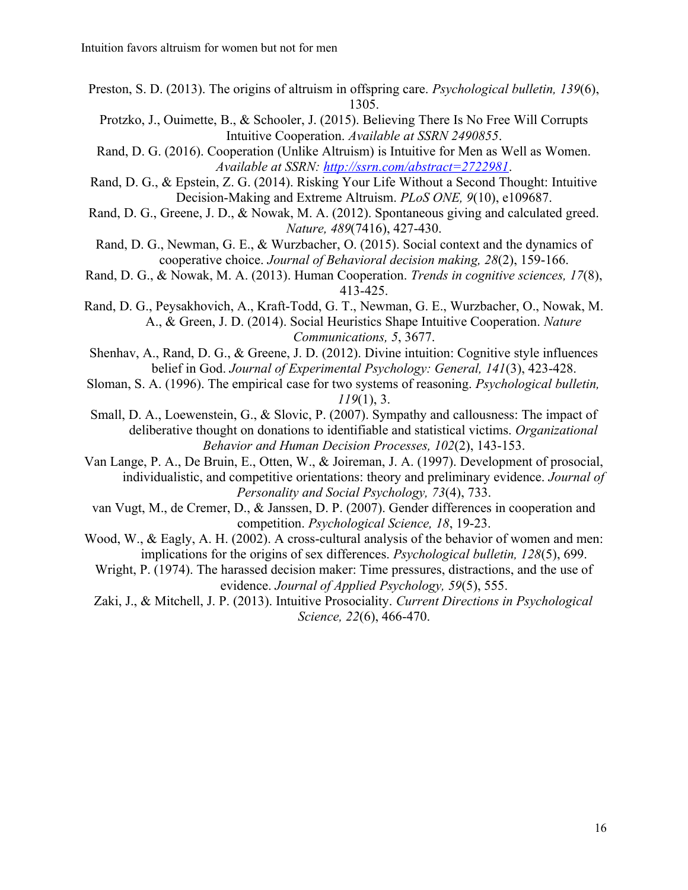- Preston, S. D. (2013). The origins of altruism in offspring care. *Psychological bulletin, 139*(6), 1305.
	- Protzko, J., Ouimette, B., & Schooler, J. (2015). Believing There Is No Free Will Corrupts Intuitive Cooperation. *Available at SSRN 2490855*.
- Rand, D. G. (2016). Cooperation (Unlike Altruism) is Intuitive for Men as Well as Women. *Available at SSRN: http://ssrn.com/abstract=2722981*.
- Rand, D. G., & Epstein, Z. G. (2014). Risking Your Life Without a Second Thought: Intuitive Decision-Making and Extreme Altruism. *PLoS ONE, 9*(10), e109687.
- Rand, D. G., Greene, J. D., & Nowak, M. A. (2012). Spontaneous giving and calculated greed. *Nature, 489*(7416), 427-430.
- Rand, D. G., Newman, G. E., & Wurzbacher, O. (2015). Social context and the dynamics of cooperative choice. *Journal of Behavioral decision making, 28*(2), 159-166.
- Rand, D. G., & Nowak, M. A. (2013). Human Cooperation. *Trends in cognitive sciences, 17*(8), 413-425.
- Rand, D. G., Peysakhovich, A., Kraft-Todd, G. T., Newman, G. E., Wurzbacher, O., Nowak, M. A., & Green, J. D. (2014). Social Heuristics Shape Intuitive Cooperation. *Nature Communications, 5*, 3677.
- Shenhav, A., Rand, D. G., & Greene, J. D. (2012). Divine intuition: Cognitive style influences belief in God. *Journal of Experimental Psychology: General, 141*(3), 423-428.
- Sloman, S. A. (1996). The empirical case for two systems of reasoning. *Psychological bulletin, 119*(1), 3.
- Small, D. A., Loewenstein, G., & Slovic, P. (2007). Sympathy and callousness: The impact of deliberative thought on donations to identifiable and statistical victims. *Organizational Behavior and Human Decision Processes, 102*(2), 143-153.
- Van Lange, P. A., De Bruin, E., Otten, W., & Joireman, J. A. (1997). Development of prosocial, individualistic, and competitive orientations: theory and preliminary evidence. *Journal of Personality and Social Psychology, 73*(4), 733.
- van Vugt, M., de Cremer, D., & Janssen, D. P. (2007). Gender differences in cooperation and competition. *Psychological Science, 18*, 19-23.
- Wood, W., & Eagly, A. H. (2002). A cross-cultural analysis of the behavior of women and men: implications for the origins of sex differences. *Psychological bulletin, 128*(5), 699.
	- Wright, P. (1974). The harassed decision maker: Time pressures, distractions, and the use of evidence. *Journal of Applied Psychology, 59*(5), 555.
	- Zaki, J., & Mitchell, J. P. (2013). Intuitive Prosociality. *Current Directions in Psychological Science, 22*(6), 466-470.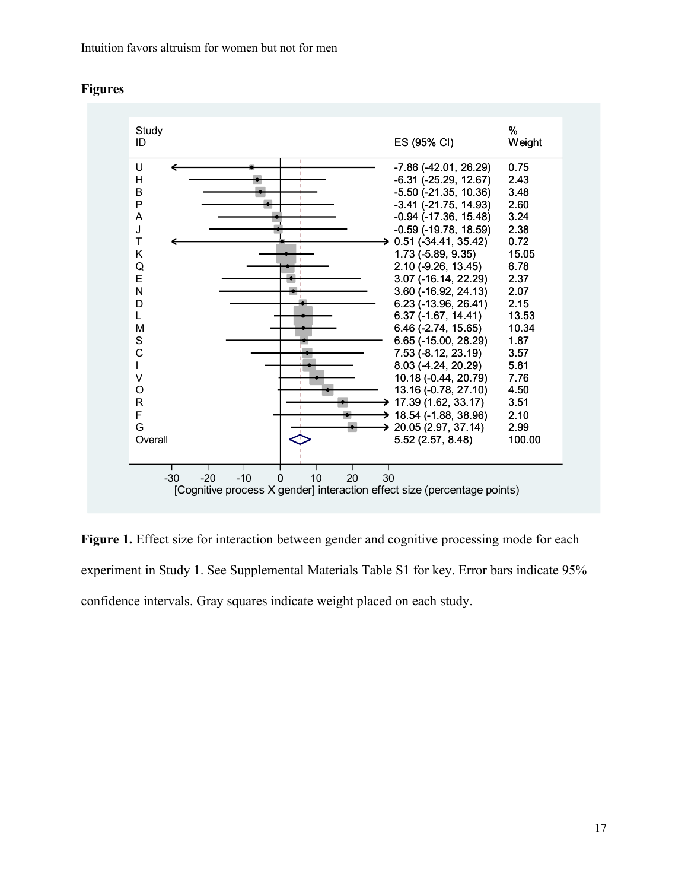Intuition favors altruism for women but not for men



#### **Figures**

Figure 1. Effect size for interaction between gender and cognitive processing mode for each experiment in Study 1. See Supplemental Materials Table S1 for key. Error bars indicate 95% confidence intervals. Gray squares indicate weight placed on each study.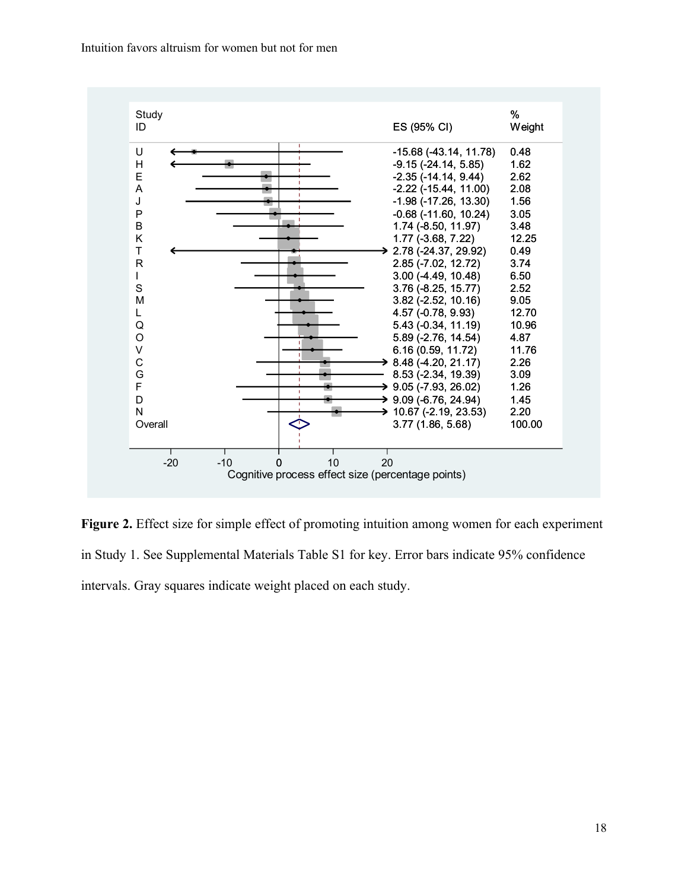Intuition favors altruism for women but not for men



**Figure 2.** Effect size for simple effect of promoting intuition among women for each experiment in Study 1. See Supplemental Materials Table S1 for key. Error bars indicate 95% confidence intervals. Gray squares indicate weight placed on each study.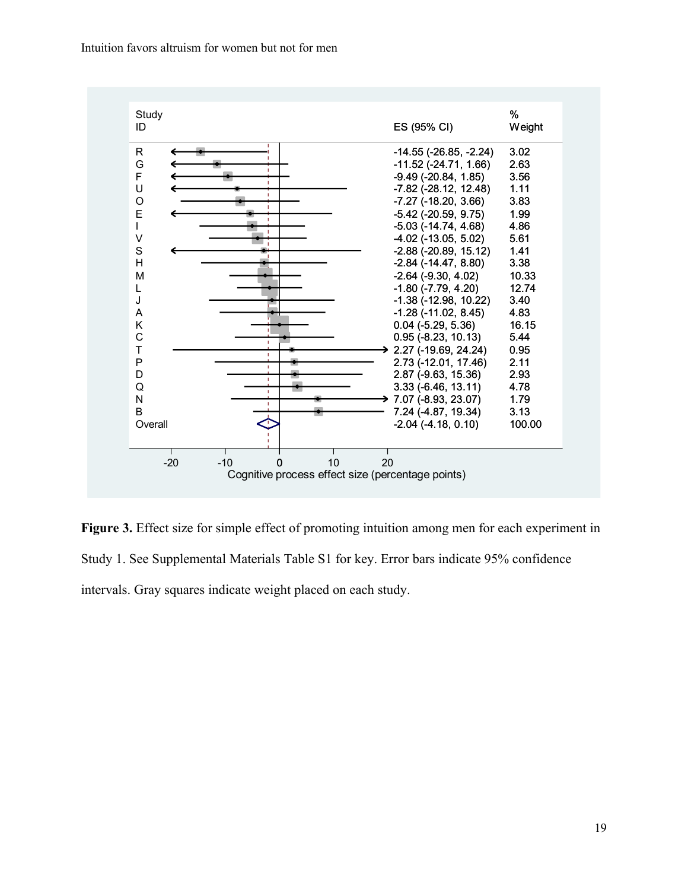Intuition favors altruism for women but not for men



**Figure 3.** Effect size for simple effect of promoting intuition among men for each experiment in Study 1. See Supplemental Materials Table S1 for key. Error bars indicate 95% confidence intervals. Gray squares indicate weight placed on each study.